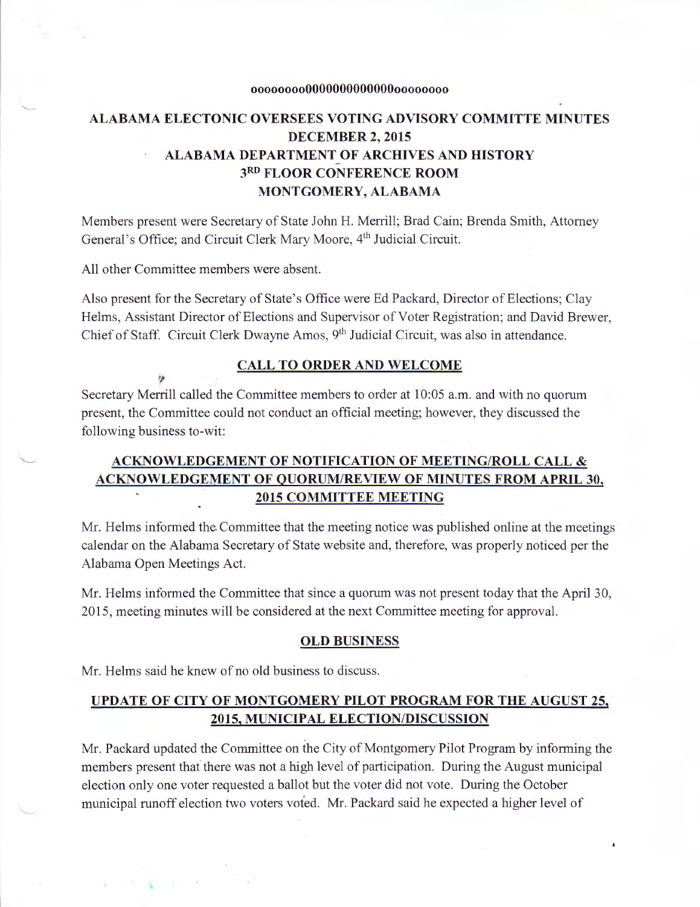#### **ooooooooOOOOOOOOOOOOOoooooooo**

# **ALABAMA ELECTONIC OVERSEES VOTING ADVISORY COMMITTE MINUTES DECEMBER 2, 2015 ALABAMA DEPARTMENT OF ARCHIVES AND HISTORY 3RD FLOOR CONFERENCE ROOM MONTGOMERY, ALABAMA**

Members present were Secretary of State John H. Merrill; Brad Cain; Brenda Smith, Attorney General's Office; and Circuit Clerk Mary Moore, 4<sup>th</sup> Judicial Circuit.

All other Committee members were absent.

Also present for the Secretary of State's Office were Ed Packard, Director of Elections; Clay Helms, Assistant Director of Elections and Supervisor of Voter Registration; and David Brewer, Chief of Staff. Circuit Clerk Dwayne Amos, 9<sup>th</sup> Judicial Circuit, was also in attendance.

### **CALL TO ORDER AND WELCOME**

'I Secretary Merrill called the Committee members to order at 10:05 a.m. and with no quorum present, the Committee could not conduct an official meeting; however, they discussed the following business to-wit:

# **ACKNOWLEDGEMENT OF NOTIFICATION OF MEETING/ROLL CALL** & **ACKNOWLEDGEMENT OF QUORUM/REVIEW OF MINUTES FROM APRIL 30, 2015 COMMITTEE MEETING**

Mr. Helms informed the Committee that the meeting notice was published online at the meetings calendar on the Alabama Secretary of State website and, therefore, was properly noticed per the Alabama Open Meetings Act.

Mr. Helms informed the Committee that since a quorum was not present today that the April 30, 2015, meeting minutes will be considered at the next Committee meeting for approval.

#### **OLD BUSINESS**

Mr. Helms said he knew of no old business to discuss.

 $\mathbf{A}$  and  $\mathbf{A}$ 

## **UPDATE OF CITY OF MONTGOMERY PILOT PROGRAM FOR THE AUGUST 25, 2015, MUNICIPAL ELECTION/DISCUSSION**

Mr. Packard updated the Committee on the City of Montgomery Pilot Program by informing the members present that there was not a high level of participation. During the August municipal election only one voter requested a ballot but the voter did not vote. During the October municipal runoff election two voters voted. Mr. Packard said he expected a higher level of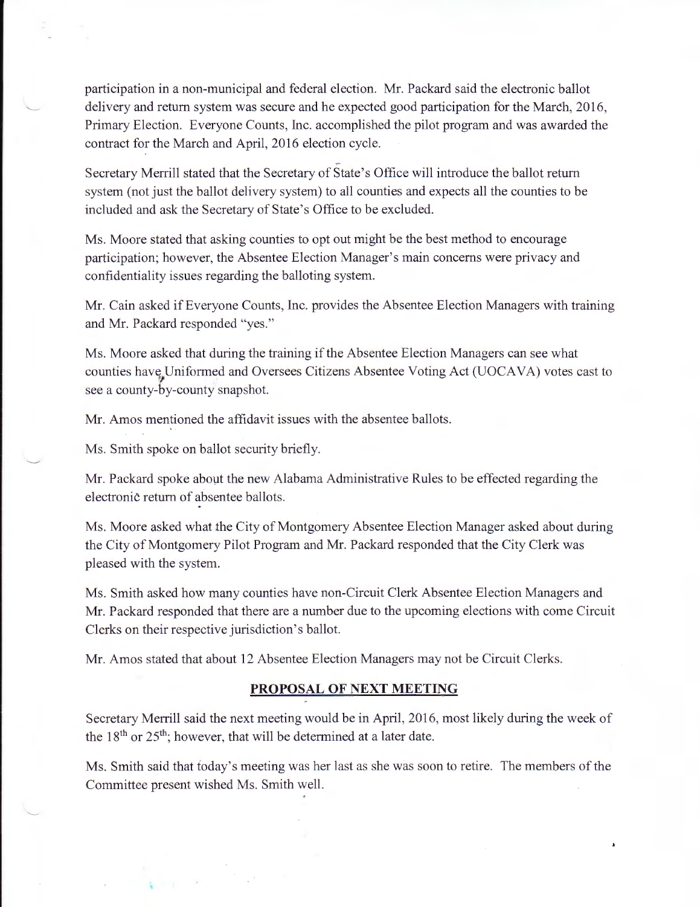participation in a non-municipal and federal election. Mr. Packard said the electronic ballot delivery and return system was secure and he expected good participation for the March, 2016, Primary Election. Everyone Counts, Inc. accomplished the pilot program and was awarded the contract for the March and April, 2016 election cycle.

Secretary Merrill stated that the Secretary of State's Office will introduce the ballot return system (not just the ballot delivery system) to all counties and expects all the counties to be included and ask the Secretary of State's Office to be excluded.

Ms. Moore stated that asking counties to opt out might be the best method to encourage participation; however, the Absentee Election Manager's main concerns were privacy and confidentiality issues regarding the balloting system.

Mr. Cain asked if Everyone Counts, Inc. provides the Absentee Election Managers with training and Mr. Packard responded "yes."

Ms. Moore asked that during the training if the Absentee Election Managers can see what counties have Uniformed and Oversees Citizens Absentee Voting Act (UOCAVA) votes cast to see a county-by-county snapshot.

Mr. Amos mentioned the affidavit issues with the absentee ballots.

Ms. Smith spoke on ballot security briefly.

 $\sim$ 

Mr. Packard spoke about the new Alabama Administrative Rules to be effected regarding the electronic return of absentee ballots.

Ms. Moore asked what the City of Montgomery Absentee Election Manager asked about during the City of Montgomery Pilot Program and Mr. Packard responded that the City Clerk was pleased with the system.

Ms. Smith asked how many counties have non-Circuit Clerk Absentee Election Managers and Mr. Packard responded that there are a number due to the upcoming elections with come Circuit Clerks on their respective jurisdiction's ballot.

Mr. Amos stated that about 12 Absentee Election Managers may not be Circuit Clerks.

## **PROPOSAL OF NEXT MEETING**

Secretary Merrill said the next meeting would be in April, 2016, most likely during the week of the  $18<sup>th</sup>$  or  $25<sup>th</sup>$ ; however, that will be determined at a later date.

Ms. Smith said that today's meeting was her last as she was soon to retire. The members of the Committee present wished Ms. Smith well.